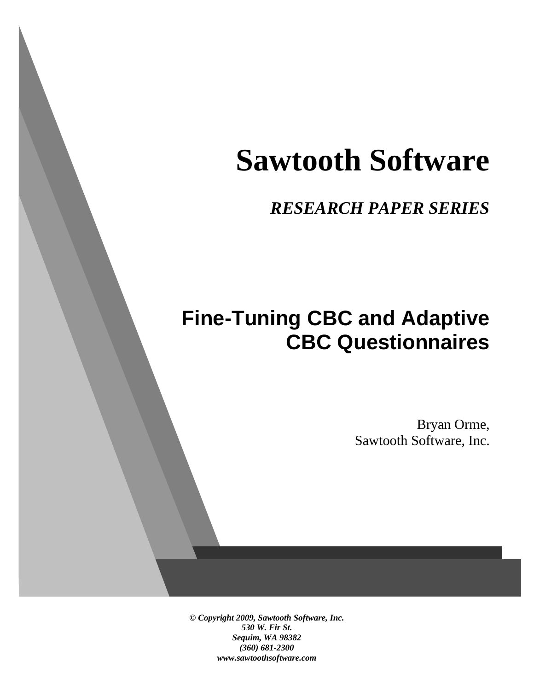# **Sawtooth Software**

*RESEARCH PAPER SERIES*

# **Fine-Tuning CBC and Adaptive CBC Questionnaires**

Bryan Orme, Sawtooth Software, Inc.

*© Copyright 2009, Sawtooth Software, Inc. 530 W. Fir St. Sequim, WA 98382 (360) 681-2300 www.sawtoothsoftware.com*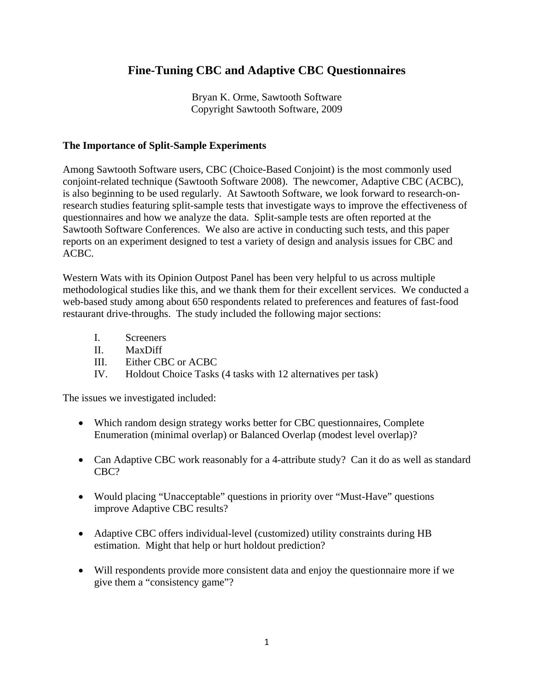### **Fine-Tuning CBC and Adaptive CBC Questionnaires**

Bryan K. Orme, Sawtooth Software Copyright Sawtooth Software, 2009

#### **The Importance of Split-Sample Experiments**

Among Sawtooth Software users, CBC (Choice-Based Conjoint) is the most commonly used conjoint-related technique (Sawtooth Software 2008). The newcomer, Adaptive CBC (ACBC), is also beginning to be used regularly. At Sawtooth Software, we look forward to research-onresearch studies featuring split-sample tests that investigate ways to improve the effectiveness of questionnaires and how we analyze the data. Split-sample tests are often reported at the Sawtooth Software Conferences. We also are active in conducting such tests, and this paper reports on an experiment designed to test a variety of design and analysis issues for CBC and ACBC.

Western Wats with its Opinion Outpost Panel has been very helpful to us across multiple methodological studies like this, and we thank them for their excellent services. We conducted a web-based study among about 650 respondents related to preferences and features of fast-food restaurant drive-throughs. The study included the following major sections:

- I. Screeners
- II. MaxDiff
- III. Either CBC or ACBC
- IV. Holdout Choice Tasks (4 tasks with 12 alternatives per task)

The issues we investigated included:

- Which random design strategy works better for CBC questionnaires, Complete Enumeration (minimal overlap) or Balanced Overlap (modest level overlap)?
- Can Adaptive CBC work reasonably for a 4-attribute study? Can it do as well as standard CBC?
- Would placing "Unacceptable" questions in priority over "Must-Have" questions improve Adaptive CBC results?
- Adaptive CBC offers individual-level (customized) utility constraints during HB estimation. Might that help or hurt holdout prediction?
- Will respondents provide more consistent data and enjoy the questionnaire more if we give them a "consistency game"?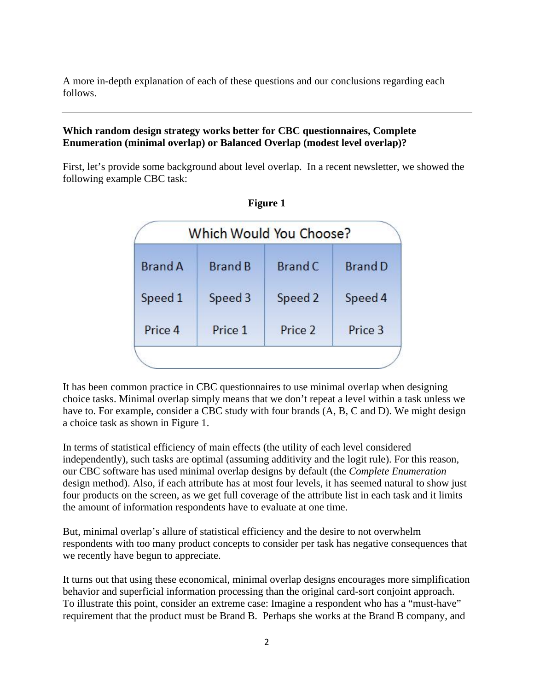A more in-depth explanation of each of these questions and our conclusions regarding each follows.

#### **Which random design strategy works better for CBC questionnaires, Complete Enumeration (minimal overlap) or Balanced Overlap (modest level overlap)?**

First, let's provide some background about level overlap. In a recent newsletter, we showed the following example CBC task:

| Which Would You Choose? |                |         |         |  |  |
|-------------------------|----------------|---------|---------|--|--|
| <b>Brand A</b>          | <b>Brand B</b> | Brand C | Brand D |  |  |
| Speed 1                 | Speed 3        | Speed 2 | Speed 4 |  |  |
| Price 4                 | Price 1        | Price 2 | Price 3 |  |  |



It has been common practice in CBC questionnaires to use minimal overlap when designing choice tasks. Minimal overlap simply means that we don't repeat a level within a task unless we have to. For example, consider a CBC study with four brands  $(A, B, C \text{ and } D)$ . We might design a choice task as shown in Figure 1.

In terms of statistical efficiency of main effects (the utility of each level considered independently), such tasks are optimal (assuming additivity and the logit rule). For this reason, our CBC software has used minimal overlap designs by default (the *Complete Enumeration* design method). Also, if each attribute has at most four levels, it has seemed natural to show just four products on the screen, as we get full coverage of the attribute list in each task and it limits the amount of information respondents have to evaluate at one time.

But, minimal overlap's allure of statistical efficiency and the desire to not overwhelm respondents with too many product concepts to consider per task has negative consequences that we recently have begun to appreciate.

It turns out that using these economical, minimal overlap designs encourages more simplification behavior and superficial information processing than the original card-sort conjoint approach. To illustrate this point, consider an extreme case: Imagine a respondent who has a "must-have" requirement that the product must be Brand B. Perhaps she works at the Brand B company, and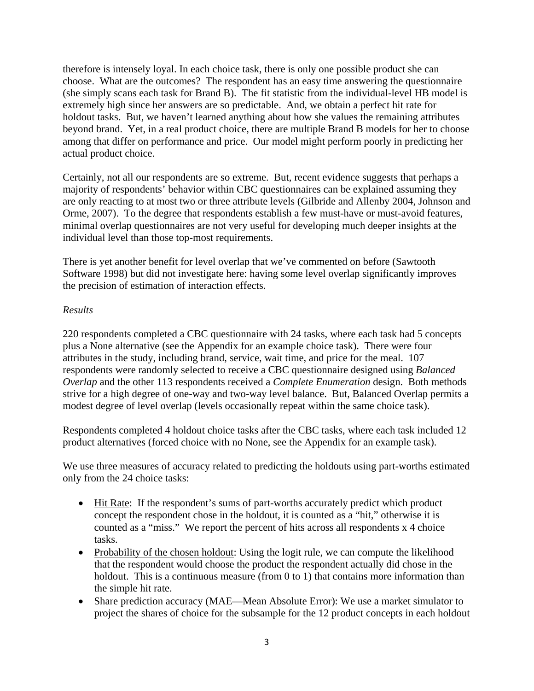therefore is intensely loyal. In each choice task, there is only one possible product she can choose. What are the outcomes? The respondent has an easy time answering the questionnaire (she simply scans each task for Brand B). The fit statistic from the individual-level HB model is extremely high since her answers are so predictable. And, we obtain a perfect hit rate for holdout tasks. But, we haven't learned anything about how she values the remaining attributes beyond brand. Yet, in a real product choice, there are multiple Brand B models for her to choose among that differ on performance and price. Our model might perform poorly in predicting her actual product choice.

Certainly, not all our respondents are so extreme. But, recent evidence suggests that perhaps a majority of respondents' behavior within CBC questionnaires can be explained assuming they are only reacting to at most two or three attribute levels (Gilbride and Allenby 2004, Johnson and Orme, 2007). To the degree that respondents establish a few must-have or must-avoid features, minimal overlap questionnaires are not very useful for developing much deeper insights at the individual level than those top-most requirements.

There is yet another benefit for level overlap that we've commented on before (Sawtooth Software 1998) but did not investigate here: having some level overlap significantly improves the precision of estimation of interaction effects.

#### *Results*

220 respondents completed a CBC questionnaire with 24 tasks, where each task had 5 concepts plus a None alternative (see the Appendix for an example choice task). There were four attributes in the study, including brand, service, wait time, and price for the meal. 107 respondents were randomly selected to receive a CBC questionnaire designed using *Balanced Overlap* and the other 113 respondents received a *Complete Enumeration* design. Both methods strive for a high degree of one-way and two-way level balance. But, Balanced Overlap permits a modest degree of level overlap (levels occasionally repeat within the same choice task).

Respondents completed 4 holdout choice tasks after the CBC tasks, where each task included 12 product alternatives (forced choice with no None, see the Appendix for an example task).

We use three measures of accuracy related to predicting the holdouts using part-worths estimated only from the 24 choice tasks:

- Hit Rate: If the respondent's sums of part-worths accurately predict which product concept the respondent chose in the holdout, it is counted as a "hit," otherwise it is counted as a "miss." We report the percent of hits across all respondents x 4 choice tasks.
- Probability of the chosen holdout: Using the logit rule, we can compute the likelihood that the respondent would choose the product the respondent actually did chose in the holdout. This is a continuous measure (from 0 to 1) that contains more information than the simple hit rate.
- Share prediction accuracy (MAE—Mean Absolute Error): We use a market simulator to project the shares of choice for the subsample for the 12 product concepts in each holdout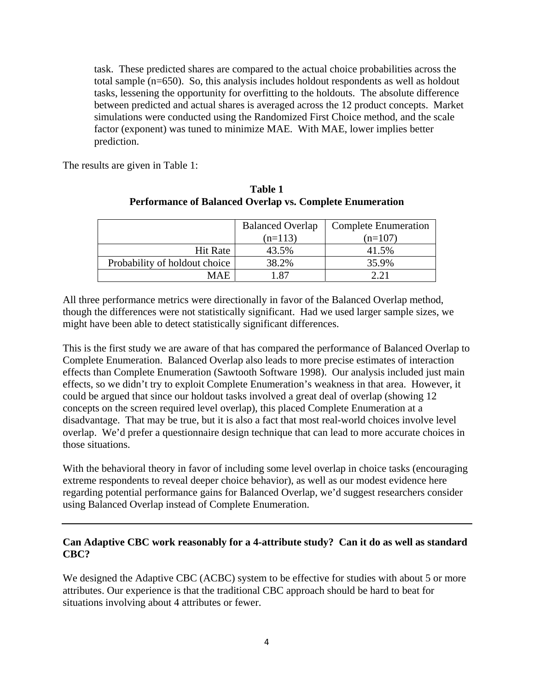task. These predicted shares are compared to the actual choice probabilities across the total sample (n=650). So, this analysis includes holdout respondents as well as holdout tasks, lessening the opportunity for overfitting to the holdouts. The absolute difference between predicted and actual shares is averaged across the 12 product concepts. Market simulations were conducted using the Randomized First Choice method, and the scale factor (exponent) was tuned to minimize MAE. With MAE, lower implies better prediction.

The results are given in Table 1:

|                               | <b>Balanced Overlap</b> | <b>Complete Enumeration</b> |
|-------------------------------|-------------------------|-----------------------------|
|                               | $(n=113)$               | $(n=107)$                   |
| <b>Hit Rate</b>               | 43.5%                   | 41.5%                       |
| Probability of holdout choice | 38.2%                   | 35.9%                       |
| MAE                           | -87                     | <u>າາ</u>                   |

#### **Table 1 Performance of Balanced Overlap vs. Complete Enumeration**

All three performance metrics were directionally in favor of the Balanced Overlap method, though the differences were not statistically significant. Had we used larger sample sizes, we might have been able to detect statistically significant differences.

This is the first study we are aware of that has compared the performance of Balanced Overlap to Complete Enumeration. Balanced Overlap also leads to more precise estimates of interaction effects than Complete Enumeration (Sawtooth Software 1998). Our analysis included just main effects, so we didn't try to exploit Complete Enumeration's weakness in that area. However, it could be argued that since our holdout tasks involved a great deal of overlap (showing 12 concepts on the screen required level overlap), this placed Complete Enumeration at a disadvantage. That may be true, but it is also a fact that most real-world choices involve level overlap. We'd prefer a questionnaire design technique that can lead to more accurate choices in those situations.

With the behavioral theory in favor of including some level overlap in choice tasks (encouraging extreme respondents to reveal deeper choice behavior), as well as our modest evidence here regarding potential performance gains for Balanced Overlap, we'd suggest researchers consider using Balanced Overlap instead of Complete Enumeration.

#### **Can Adaptive CBC work reasonably for a 4-attribute study? Can it do as well as standard CBC?**

We designed the Adaptive CBC (ACBC) system to be effective for studies with about 5 or more attributes. Our experience is that the traditional CBC approach should be hard to beat for situations involving about 4 attributes or fewer.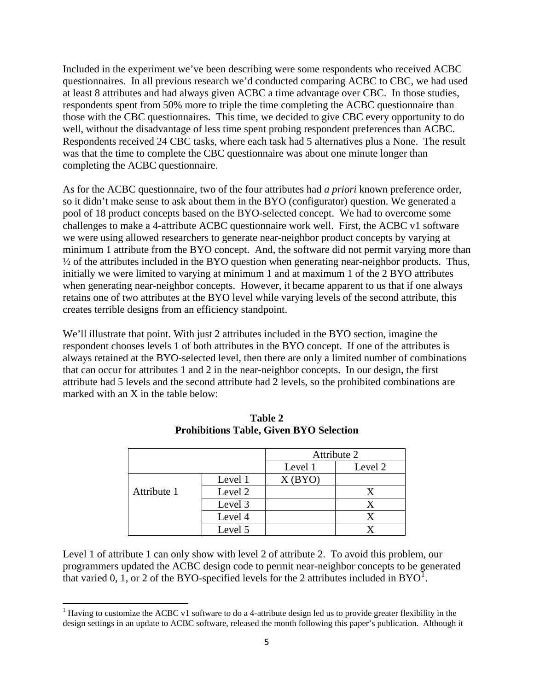Included in the experiment we've been describing were some respondents who received ACBC questionnaires. In all previous research we'd conducted comparing ACBC to CBC, we had used at least 8 attributes and had always given ACBC a time advantage over CBC. In those studies, respondents spent from 50% more to triple the time completing the ACBC questionnaire than those with the CBC questionnaires. This time, we decided to give CBC every opportunity to do well, without the disadvantage of less time spent probing respondent preferences than ACBC. Respondents received 24 CBC tasks, where each task had 5 alternatives plus a None. The result was that the time to complete the CBC questionnaire was about one minute longer than completing the ACBC questionnaire.

As for the ACBC questionnaire, two of the four attributes had *a priori* known preference order, so it didn't make sense to ask about them in the BYO (configurator) question. We generated a pool of 18 product concepts based on the BYO-selected concept. We had to overcome some challenges to make a 4-attribute ACBC questionnaire work well. First, the ACBC v1 software we were using allowed researchers to generate near-neighbor product concepts by varying at minimum 1 attribute from the BYO concept. And, the software did not permit varying more than ½ of the attributes included in the BYO question when generating near-neighbor products. Thus, initially we were limited to varying at minimum 1 and at maximum 1 of the 2 BYO attributes when generating near-neighbor concepts. However, it became apparent to us that if one always retains one of two attributes at the BYO level while varying levels of the second attribute, this creates terrible designs from an efficiency standpoint.

We'll illustrate that point. With just 2 attributes included in the BYO section, imagine the respondent chooses levels 1 of both attributes in the BYO concept. If one of the attributes is always retained at the BYO-selected level, then there are only a limited number of combinations that can occur for attributes 1 and 2 in the near-neighbor concepts. In our design, the first attribute had 5 levels and the second attribute had 2 levels, so the prohibited combinations are marked with an X in the table below:

|             |         |         | Attribute 2 |
|-------------|---------|---------|-------------|
|             |         | Level 1 | Level 2     |
|             | Level 1 | X(BYO)  |             |
| Attribute 1 | Level 2 |         |             |
|             | Level 3 |         |             |
|             | Level 4 |         |             |
|             | Level 5 |         |             |

**Table 2 Prohibitions Table, Given BYO Selection** 

Level 1 of attribute 1 can only show with level 2 of attribute 2. To avoid this problem, our programmers updated the ACBC design code to permit near-neighbor concepts to be generated that varied 0, [1](#page-5-0), or 2 of the BYO-specified levels for the 2 attributes included in  $BYO^1$ .

<span id="page-5-0"></span><sup>&</sup>lt;sup>1</sup> Having to customize the ACBC v1 software to do a 4-attribute design led us to provide greater flexibility in the design settings in an update to ACBC software, released the month following this paper's publication. Although it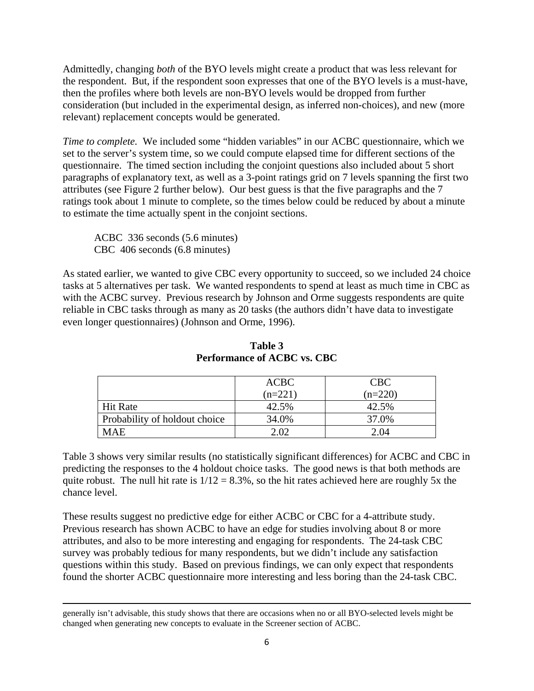Admittedly, changing *both* of the BYO levels might create a product that was less relevant for the respondent. But, if the respondent soon expresses that one of the BYO levels is a must-have, then the profiles where both levels are non-BYO levels would be dropped from further consideration (but included in the experimental design, as inferred non-choices), and new (more relevant) replacement concepts would be generated.

*Time to complete.* We included some "hidden variables" in our ACBC questionnaire, which we set to the server's system time, so we could compute elapsed time for different sections of the questionnaire. The timed section including the conjoint questions also included about 5 short paragraphs of explanatory text, as well as a 3-point ratings grid on 7 levels spanning the first two attributes (see Figure 2 further below). Our best guess is that the five paragraphs and the 7 ratings took about 1 minute to complete, so the times below could be reduced by about a minute to estimate the time actually spent in the conjoint sections.

 ACBC 336 seconds (5.6 minutes) CBC 406 seconds (6.8 minutes)

As stated earlier, we wanted to give CBC every opportunity to succeed, so we included 24 choice tasks at 5 alternatives per task. We wanted respondents to spend at least as much time in CBC as with the ACBC survey. Previous research by Johnson and Orme suggests respondents are quite reliable in CBC tasks through as many as 20 tasks (the authors didn't have data to investigate even longer questionnaires) (Johnson and Orme, 1996).

|                               | <b>ACBC</b> | CBC       |
|-------------------------------|-------------|-----------|
|                               | $(n=221)$   | $(n=220)$ |
| <b>Hit Rate</b>               | 42.5%       | 42.5%     |
| Probability of holdout choice | 34.0%       | 37.0%     |
| MAE.                          | ר∩ י        | 2.04      |

**Table 3 Performance of ACBC vs. CBC** 

Table 3 shows very similar results (no statistically significant differences) for ACBC and CBC in predicting the responses to the 4 holdout choice tasks. The good news is that both methods are quite robust. The null hit rate is  $1/12 = 8.3\%$ , so the hit rates achieved here are roughly 5x the chance level.

These results suggest no predictive edge for either ACBC or CBC for a 4-attribute study. Previous research has shown ACBC to have an edge for studies involving about 8 or more attributes, and also to be more interesting and engaging for respondents. The 24-task CBC survey was probably tedious for many respondents, but we didn't include any satisfaction questions within this study. Based on previous findings, we can only expect that respondents found the shorter ACBC questionnaire more interesting and less boring than the 24-task CBC.

<u> 1989 - Johann Stoff, amerikansk politiker (d. 1989)</u>

generally isn't advisable, this study shows that there are occasions when no or all BYO-selected levels might be changed when generating new concepts to evaluate in the Screener section of ACBC.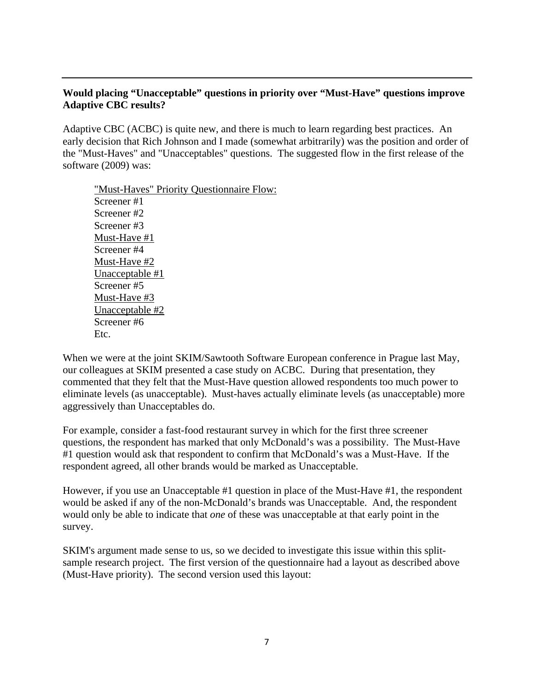#### **Would placing "Unacceptable" questions in priority over "Must-Have" questions improve Adaptive CBC results?**

Adaptive CBC (ACBC) is quite new, and there is much to learn regarding best practices. An early decision that Rich Johnson and I made (somewhat arbitrarily) was the position and order of the "Must-Haves" and "Unacceptables" questions. The suggested flow in the first release of the software (2009) was:

"Must-Haves" Priority Questionnaire Flow: Screener #1 Screener #2 Screener #3 Must-Have #1 Screener #4 Must-Have #2 Unacceptable #1 Screener #5 Must-Have #3 Unacceptable #2 Screener #6 Etc.

When we were at the joint SKIM/Sawtooth Software European conference in Prague last May, our colleagues at SKIM presented a case study on ACBC. During that presentation, they commented that they felt that the Must-Have question allowed respondents too much power to eliminate levels (as unacceptable). Must-haves actually eliminate levels (as unacceptable) more aggressively than Unacceptables do.

For example, consider a fast-food restaurant survey in which for the first three screener questions, the respondent has marked that only McDonald's was a possibility. The Must-Have #1 question would ask that respondent to confirm that McDonald's was a Must-Have. If the respondent agreed, all other brands would be marked as Unacceptable.

However, if you use an Unacceptable #1 question in place of the Must-Have #1, the respondent would be asked if any of the non-McDonald's brands was Unacceptable. And, the respondent would only be able to indicate that *one* of these was unacceptable at that early point in the survey.

SKIM's argument made sense to us, so we decided to investigate this issue within this splitsample research project. The first version of the questionnaire had a layout as described above (Must-Have priority). The second version used this layout: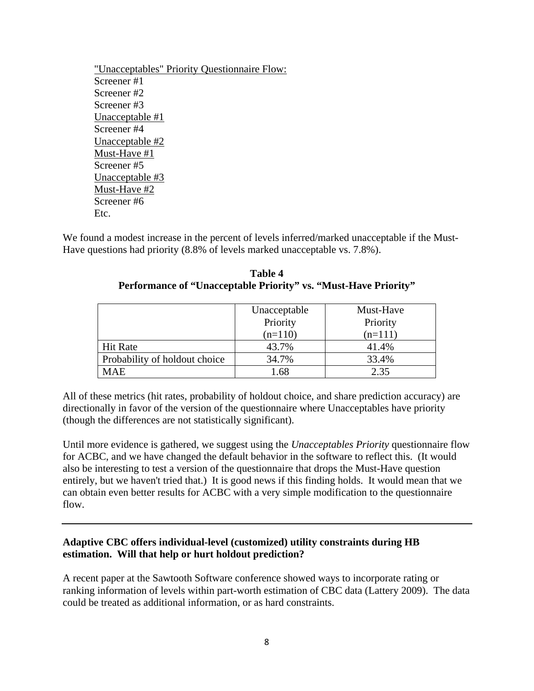"Unacceptables" Priority Questionnaire Flow: Screener #1 Screener #2 Screener #3 Unacceptable #1 Screener #4 Unacceptable #2 Must-Have #1 Screener #5 Unacceptable #3 Must-Have #2 Screener #6 Etc.

We found a modest increase in the percent of levels inferred/marked unacceptable if the Must-Have questions had priority (8.8% of levels marked unacceptable vs. 7.8%).

| Table 4                                                         |
|-----------------------------------------------------------------|
| Performance of "Unacceptable Priority" vs. "Must-Have Priority" |

|                               | Unacceptable | Must-Have |
|-------------------------------|--------------|-----------|
|                               | Priority     | Priority  |
|                               | $(n=110)$    | $(n=111)$ |
| <b>Hit Rate</b>               | 43.7%        | 41.4%     |
| Probability of holdout choice | 34.7%        | 33.4%     |
| <b>MAE</b>                    | 1.68         | 2.35      |

All of these metrics (hit rates, probability of holdout choice, and share prediction accuracy) are directionally in favor of the version of the questionnaire where Unacceptables have priority (though the differences are not statistically significant).

Until more evidence is gathered, we suggest using the *Unacceptables Priority* questionnaire flow for ACBC, and we have changed the default behavior in the software to reflect this. (It would also be interesting to test a version of the questionnaire that drops the Must-Have question entirely, but we haven't tried that.) It is good news if this finding holds. It would mean that we can obtain even better results for ACBC with a very simple modification to the questionnaire flow.

#### **Adaptive CBC offers individual-level (customized) utility constraints during HB estimation. Will that help or hurt holdout prediction?**

A recent paper at the Sawtooth Software conference showed ways to incorporate rating or ranking information of levels within part-worth estimation of CBC data (Lattery 2009). The data could be treated as additional information, or as hard constraints.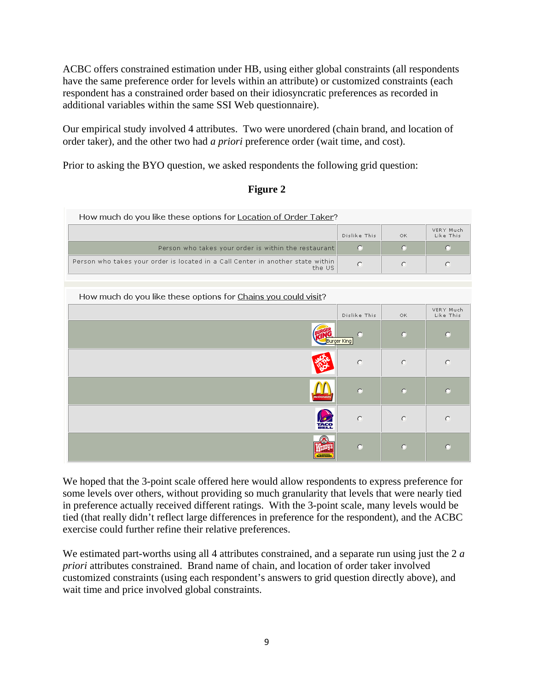ACBC offers constrained estimation under HB, using either global constraints (all respondents have the same preference order for levels within an attribute) or customized constraints (each respondent has a constrained order based on their idiosyncratic preferences as recorded in additional variables within the same SSI Web questionnaire).

Our empirical study involved 4 attributes. Two were unordered (chain brand, and location of order taker), and the other two had *a priori* preference order (wait time, and cost).

Prior to asking the BYO question, we asked respondents the following grid question:

| 9111 |  |
|------|--|
|      |  |

| How much do you like these options for Location of Order Taker?                           |                  |          |                        |
|-------------------------------------------------------------------------------------------|------------------|----------|------------------------|
|                                                                                           | Dislike This     | OK.      | VERY Much<br>Like This |
| Person who takes your order is within the restaurant                                      | $\circ$          | $\circ$  | o                      |
| Person who takes your order is located in a Call Center in another state within<br>the US | $\circ$          | $\circ$  | $\circ$                |
|                                                                                           |                  |          |                        |
| How much do you like these options for Chains you could visit?                            |                  |          |                        |
|                                                                                           | Dislike This     | OK.      | VERY Much<br>Like This |
|                                                                                           | O<br>Burger King | O        | $\circ$                |
|                                                                                           | $\circ$          | $\circ$  | $\circ$                |
|                                                                                           | O                | O        | $\circ$                |
|                                                                                           | $\circ$          | $\circ$  | $\circ$                |
|                                                                                           | $\circ$          | $\Omega$ | $\circ$                |

We hoped that the 3-point scale offered here would allow respondents to express preference for some levels over others, without providing so much granularity that levels that were nearly tied in preference actually received different ratings. With the 3-point scale, many levels would be tied (that really didn't reflect large differences in preference for the respondent), and the ACBC exercise could further refine their relative preferences.

We estimated part-worths using all 4 attributes constrained, and a separate run using just the 2 *a priori* attributes constrained. Brand name of chain, and location of order taker involved customized constraints (using each respondent's answers to grid question directly above), and wait time and price involved global constraints.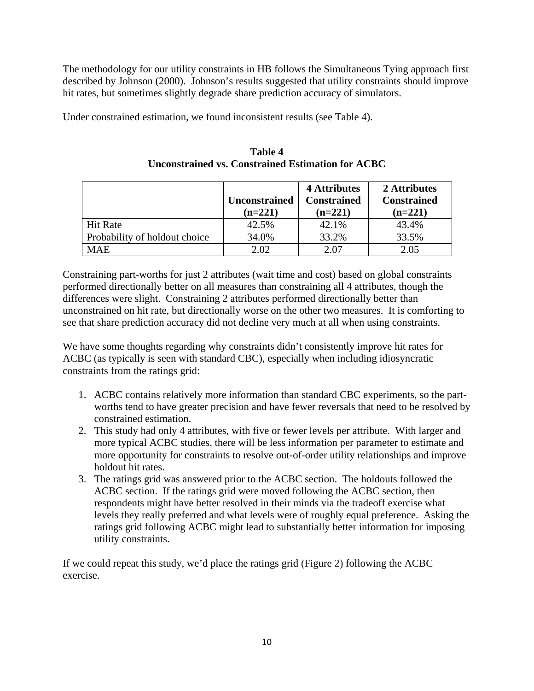The methodology for our utility constraints in HB follows the Simultaneous Tying approach first described by Johnson (2000). Johnson's results suggested that utility constraints should improve hit rates, but sometimes slightly degrade share prediction accuracy of simulators.

Under constrained estimation, we found inconsistent results (see Table 4).

|                               | <b>Unconstrained</b><br>$(n=221)$ | 4 Attributes<br><b>Constrained</b><br>$(n=221)$ | 2 Attributes<br><b>Constrained</b><br>$(n=221)$ |
|-------------------------------|-----------------------------------|-------------------------------------------------|-------------------------------------------------|
| <b>Hit Rate</b>               | 42.5%                             | 42.1%                                           | 43.4%                                           |
| Probability of holdout choice | 34.0%                             | 33.2%                                           | 33.5%                                           |
| <b>MAE</b>                    | 2.02                              | 2.07                                            | 2.05                                            |

**Table 4 Unconstrained vs. Constrained Estimation for ACBC** 

Constraining part-worths for just 2 attributes (wait time and cost) based on global constraints performed directionally better on all measures than constraining all 4 attributes, though the differences were slight. Constraining 2 attributes performed directionally better than unconstrained on hit rate, but directionally worse on the other two measures. It is comforting to see that share prediction accuracy did not decline very much at all when using constraints.

We have some thoughts regarding why constraints didn't consistently improve hit rates for ACBC (as typically is seen with standard CBC), especially when including idiosyncratic constraints from the ratings grid:

- 1. ACBC contains relatively more information than standard CBC experiments, so the partworths tend to have greater precision and have fewer reversals that need to be resolved by constrained estimation.
- 2. This study had only 4 attributes, with five or fewer levels per attribute. With larger and more typical ACBC studies, there will be less information per parameter to estimate and more opportunity for constraints to resolve out-of-order utility relationships and improve holdout hit rates.
- 3. The ratings grid was answered prior to the ACBC section. The holdouts followed the ACBC section. If the ratings grid were moved following the ACBC section, then respondents might have better resolved in their minds via the tradeoff exercise what levels they really preferred and what levels were of roughly equal preference. Asking the ratings grid following ACBC might lead to substantially better information for imposing utility constraints.

If we could repeat this study, we'd place the ratings grid (Figure 2) following the ACBC exercise.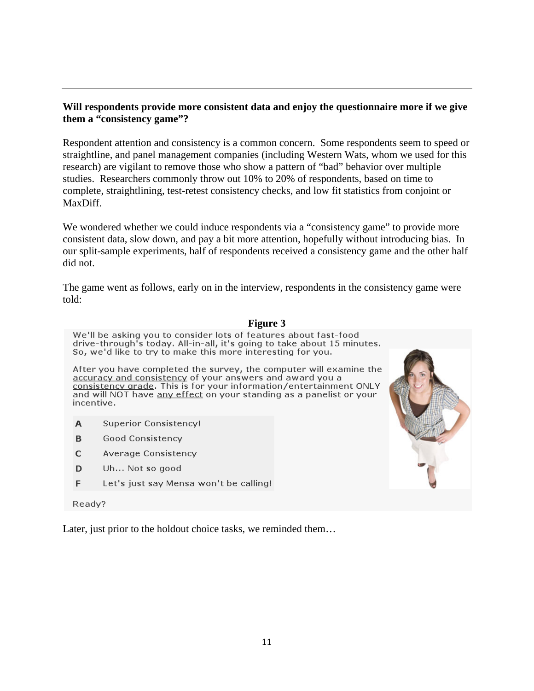#### **Will respondents provide more consistent data and enjoy the questionnaire more if we give them a "consistency game"?**

Respondent attention and consistency is a common concern. Some respondents seem to speed or straightline, and panel management companies (including Western Wats, whom we used for this research) are vigilant to remove those who show a pattern of "bad" behavior over multiple studies. Researchers commonly throw out 10% to 20% of respondents, based on time to complete, straightlining, test-retest consistency checks, and low fit statistics from conjoint or MaxDiff.

We wondered whether we could induce respondents via a "consistency game" to provide more consistent data, slow down, and pay a bit more attention, hopefully without introducing bias. In our split-sample experiments, half of respondents received a consistency game and the other half did not.

The game went as follows, early on in the interview, respondents in the consistency game were told:

**Figure 3** *C* 

|            | rigure <i>S</i>                                                                                                                                                                                                                                                             |  |  |  |
|------------|-----------------------------------------------------------------------------------------------------------------------------------------------------------------------------------------------------------------------------------------------------------------------------|--|--|--|
|            | We'll be asking you to consider lots of features about fast-food<br>drive-through's today. All-in-all, it's going to take about 15 minutes.<br>So, we'd like to try to make this more interesting for you.                                                                  |  |  |  |
| incentive. | After you have completed the survey, the computer will examine the<br>accuracy and consistency of your answers and award you a<br>consistency grade. This is for your information/entertainment ONLY<br>and will NOT have any effect on your standing as a panelist or your |  |  |  |
| A          | <b>Superior Consistency!</b>                                                                                                                                                                                                                                                |  |  |  |
| в          | Good Consistency                                                                                                                                                                                                                                                            |  |  |  |
| c          | Average Consistency                                                                                                                                                                                                                                                         |  |  |  |
| D          | Uh Not so good                                                                                                                                                                                                                                                              |  |  |  |
| F          | Let's just say Mensa won't be calling!                                                                                                                                                                                                                                      |  |  |  |
|            |                                                                                                                                                                                                                                                                             |  |  |  |

# Ready?

Later, just prior to the holdout choice tasks, we reminded them...

11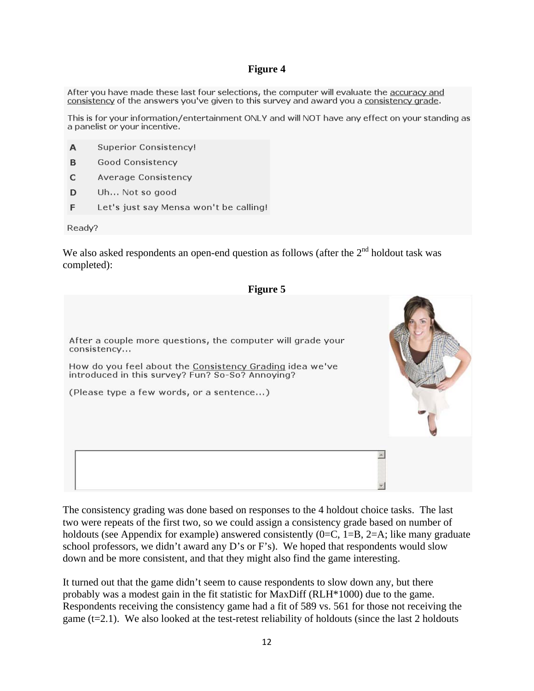#### **Figure 4**

After you have made these last four selections, the computer will evaluate the accuracy and consistency of the answers you've given to this survey and award you a consistency grade.

This is for your information/entertainment ONLY and will NOT have any effect on your standing as a panelist or your incentive.

- **Superior Consistency!** A
- **Good Consistency** B.
- **Average Consistency**  $\mathbf{C}$
- D. Uh... Not so good
- F. Let's just say Mensa won't be calling!

Ready?

We also asked respondents an open-end question as follows (after the  $2<sup>nd</sup>$  holdout task was completed):



The consistency grading was done based on responses to the 4 holdout choice tasks. The last two were repeats of the first two, so we could assign a consistency grade based on number of holdouts (see Appendix for example) answered consistently  $(0=C, 1=B, 2=A;$  like many graduate school professors, we didn't award any D's or F's). We hoped that respondents would slow down and be more consistent, and that they might also find the game interesting.

It turned out that the game didn't seem to cause respondents to slow down any, but there probably was a modest gain in the fit statistic for MaxDiff (RLH\*1000) due to the game. Respondents receiving the consistency game had a fit of 589 vs. 561 for those not receiving the game  $(t=2.1)$ . We also looked at the test-retest reliability of holdouts (since the last 2 holdouts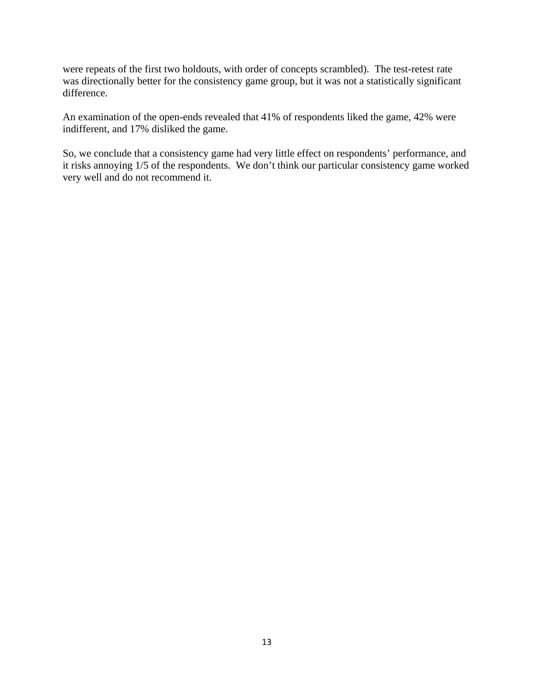were repeats of the first two holdouts, with order of concepts scrambled). The test-retest rate was directionally better for the consistency game group, but it was not a statistically significant difference.

An examination of the open-ends revealed that 41% of respondents liked the game, 42% were indifferent, and 17% disliked the game.

So, we conclude that a consistency game had very little effect on respondents' performance, and it risks annoying 1/5 of the respondents. We don't think our particular consistency game worked very well and do not recommend it.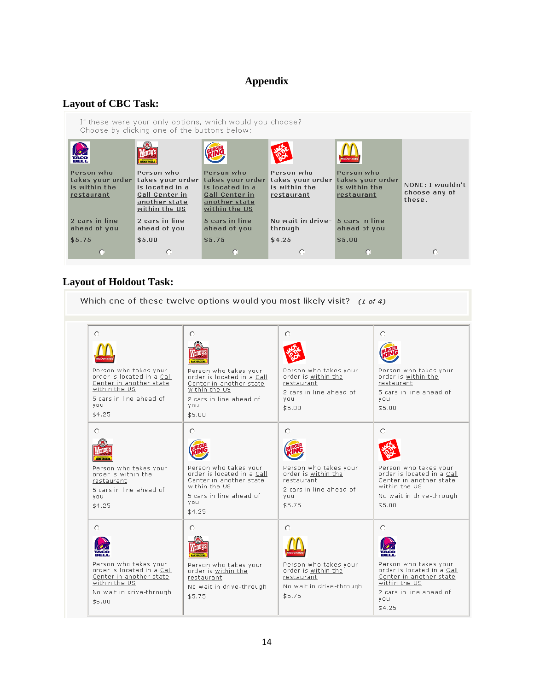# **Appendix**

## **Layout of CBC Task:**

| If these were your only options, which would you choose?<br>Choose by clicking one of the buttons below: |                                                                                                                               |                                                                                                              |                                                               |                                                               |                                             |
|----------------------------------------------------------------------------------------------------------|-------------------------------------------------------------------------------------------------------------------------------|--------------------------------------------------------------------------------------------------------------|---------------------------------------------------------------|---------------------------------------------------------------|---------------------------------------------|
| <b>DE</b>                                                                                                | <b>BANKELOUSS</b>                                                                                                             |                                                                                                              |                                                               | <b><i><u><b>IcDonal</b></u></i></b>                           |                                             |
| Person who<br>is within the<br>restaurant                                                                | Person who<br>takes your order takes your order<br>is located in a<br><b>Call Center in</b><br>another state<br>within the US | Person who<br>takes your order<br>is located in a<br><b>Call Center in</b><br>another state<br>within the US | Person who<br>takes your order<br>is within the<br>restaurant | Person who<br>takes your order<br>is within the<br>restaurant | NONE: I wouldn't<br>choose any of<br>these. |
| 2 cars in line<br>ahead of you                                                                           | 2 cars in line<br>ahead of you                                                                                                | 5 cars in line<br>ahead of you                                                                               | No wait in drive-<br>through                                  | 5 cars in line<br>ahead of you                                |                                             |
| \$5.75                                                                                                   | \$5.00                                                                                                                        | \$5.75                                                                                                       | \$4.25                                                        | \$5.00                                                        |                                             |
|                                                                                                          | с                                                                                                                             |                                                                                                              | o                                                             |                                                               | O                                           |

## **Layout of Holdout Task:**

| Which one of these twelve options would you most likely visit? $(1 \text{ of } 4)$                                                                       |                                                                                                                                                         |                                                                                                                    |                                                                                                                                                  |  |  |
|----------------------------------------------------------------------------------------------------------------------------------------------------------|---------------------------------------------------------------------------------------------------------------------------------------------------------|--------------------------------------------------------------------------------------------------------------------|--------------------------------------------------------------------------------------------------------------------------------------------------|--|--|
| $\circ$<br>Person who takes your<br>order is located in a Call.<br>Center in another state<br>within the US<br>5 cars in line ahead of<br>vou.<br>\$4.25 | $\circ$<br>Person who takes your<br>order is located in a Call.<br>Center in another state<br>within the US<br>2 cars in line ahead of<br>vou<br>\$5.00 | $\circ$<br>Person who takes your<br>order is within the<br>restaurant<br>2 cars in line ahead of<br>vou.<br>\$5.00 | O<br>Person who takes your<br>order is within the<br>restaurant<br>5 cars in line ahead of<br>vou.<br>\$5.00                                     |  |  |
| O<br>Person who takes your<br>order is within the<br>restaurant<br>5 cars in line ahead of<br>vou<br>\$4.25                                              | О<br>Person who takes your<br>order is located in a Call.<br>Center in another state<br>within the US<br>5 cars in line ahead of<br>vou<br>\$4.25       | О<br>Person who takes your<br>order is within the<br>restaurant<br>2 cars in line ahead of<br>vou.<br>\$5.75       | О<br>Person who takes your<br>order is located in a Call<br>Center in another state<br>within the US<br>No wait in drive-through<br>\$5.00       |  |  |
| O.<br>Person who takes your<br>order is located in a Call<br>Center in another state<br>within the US<br>No wait in drive-through<br>\$5.00              | O<br>Person who takes your<br>order is within the<br>restaurant<br>No wait in drive-through<br>\$5.75                                                   | O<br>Person who takes your<br>order is within the<br>restaurant<br>No wait in drive-through<br>\$5.75              | O<br>Person who takes vour<br>order is located in a Call<br>Center in another state<br>within the US<br>2 cars in line ahead of<br>vou<br>\$4.25 |  |  |